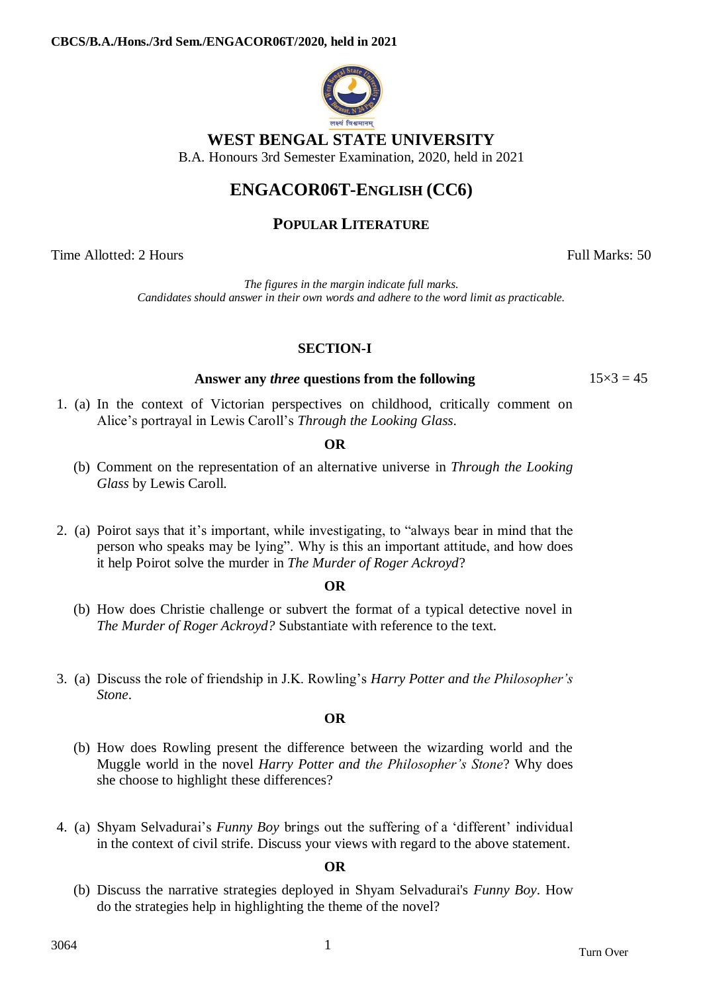

## **WEST BENGAL STATE UNIVERSITY**

B.A. Honours 3rd Semester Examination, 2020, held in 2021

# **ENGACOR06T-ENGLISH (CC6)**

### **POPULAR LITERATURE**

Time Allotted: 2 Hours Full Marks: 50

*The figures in the margin indicate full marks. Candidates should answer in their own words and adhere to the word limit as practicable.*

### **SECTION-I**

### **Answer any** *three* **questions from the following** 15×3 = 45

1. (a) In the context of Victorian perspectives on childhood, critically comment on Alice's portrayal in Lewis Caroll's *Through the Looking Glass*.

### **OR**

- (b) Comment on the representation of an alternative universe in *Through the Looking Glass* by Lewis Caroll.
- 2. (a) Poirot says that it's important, while investigating, to "always bear in mind that the person who speaks may be lying". Why is this an important attitude, and how does it help Poirot solve the murder in *The Murder of Roger Ackroyd*?

#### **OR**

- (b) How does Christie challenge or subvert the format of a typical detective novel in *The Murder of Roger Ackroyd?* Substantiate with reference to the text.
- 3. (a) Discuss the role of friendship in J.K. Rowling's *Harry Potter and the Philosopher's Stone*.

#### **OR**

- (b) How does Rowling present the difference between the wizarding world and the Muggle world in the novel *Harry Potter and the Philosopher's Stone*? Why does she choose to highlight these differences?
- 4. (a) Shyam Selvadurai's *Funny Boy* brings out the suffering of a ‗different' individual in the context of civil strife. Discuss your views with regard to the above statement.

#### **OR**

(b) Discuss the narrative strategies deployed in Shyam Selvadurai's *Funny Boy*. How do the strategies help in highlighting the theme of the novel?